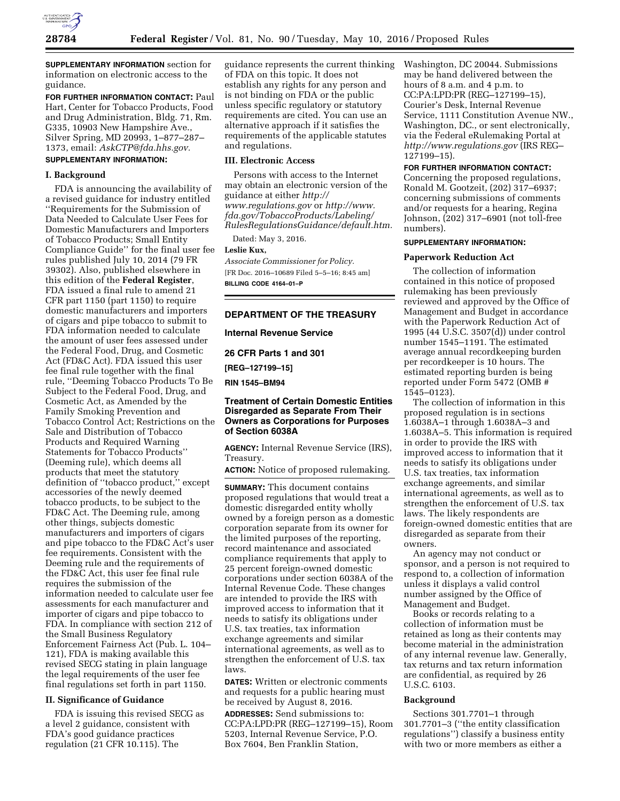

**SUPPLEMENTARY INFORMATION** section for information on electronic access to the guidance.

**FOR FURTHER INFORMATION CONTACT:** Paul Hart, Center for Tobacco Products, Food and Drug Administration, Bldg. 71, Rm. G335, 10903 New Hampshire Ave., Silver Spring, MD 20993, 1–877–287– 1373, email: *[AskCTP@fda.hhs.gov.](mailto:AskCTP@fda.hhs.gov)* 

# **SUPPLEMENTARY INFORMATION:**

#### **I. Background**

FDA is announcing the availability of a revised guidance for industry entitled ''Requirements for the Submission of Data Needed to Calculate User Fees for Domestic Manufacturers and Importers of Tobacco Products; Small Entity Compliance Guide'' for the final user fee rules published July 10, 2014 (79 FR 39302). Also, published elsewhere in this edition of the **Federal Register**, FDA issued a final rule to amend 21 CFR part 1150 (part 1150) to require domestic manufacturers and importers of cigars and pipe tobacco to submit to FDA information needed to calculate the amount of user fees assessed under the Federal Food, Drug, and Cosmetic Act (FD&C Act). FDA issued this user fee final rule together with the final rule, ''Deeming Tobacco Products To Be Subject to the Federal Food, Drug, and Cosmetic Act, as Amended by the Family Smoking Prevention and Tobacco Control Act; Restrictions on the Sale and Distribution of Tobacco Products and Required Warning Statements for Tobacco Products'' (Deeming rule), which deems all products that meet the statutory definition of ''tobacco product,'' except accessories of the newly deemed tobacco products, to be subject to the FD&C Act. The Deeming rule, among other things, subjects domestic manufacturers and importers of cigars and pipe tobacco to the FD&C Act's user fee requirements. Consistent with the Deeming rule and the requirements of the FD&C Act, this user fee final rule requires the submission of the information needed to calculate user fee assessments for each manufacturer and importer of cigars and pipe tobacco to FDA. In compliance with section 212 of the Small Business Regulatory Enforcement Fairness Act (Pub. L. 104– 121), FDA is making available this revised SECG stating in plain language the legal requirements of the user fee final regulations set forth in part 1150.

### **II. Significance of Guidance**

FDA is issuing this revised SECG as a level 2 guidance, consistent with FDA's good guidance practices regulation (21 CFR 10.115). The

guidance represents the current thinking of FDA on this topic. It does not establish any rights for any person and is not binding on FDA or the public unless specific regulatory or statutory requirements are cited. You can use an alternative approach if it satisfies the requirements of the applicable statutes and regulations.

#### **III. Electronic Access**

Persons with access to the Internet may obtain an electronic version of the guidance at either *[http://](http://www.regulations.gov) [www.regulations.gov](http://www.regulations.gov)* or *[http://www.](http://www.fda.gov/TobaccoProducts/Labeling/RulesRegulationsGuidance/default.htm) [fda.gov/TobaccoProducts/Labeling/](http://www.fda.gov/TobaccoProducts/Labeling/RulesRegulationsGuidance/default.htm) [RulesRegulationsGuidance/default.htm.](http://www.fda.gov/TobaccoProducts/Labeling/RulesRegulationsGuidance/default.htm)* 

Dated: May 3, 2016.

#### **Leslie Kux,**

*Associate Commissioner for Policy.*  [FR Doc. 2016–10689 Filed 5–5–16; 8:45 am] **BILLING CODE 4164–01–P** 

#### **DEPARTMENT OF THE TREASURY**

**Internal Revenue Service** 

**26 CFR Parts 1 and 301** 

**[REG–127199–15]** 

**RIN 1545–BM94** 

## **Treatment of Certain Domestic Entities Disregarded as Separate From Their Owners as Corporations for Purposes of Section 6038A**

**AGENCY:** Internal Revenue Service (IRS), Treasury.

**ACTION:** Notice of proposed rulemaking.

**SUMMARY:** This document contains proposed regulations that would treat a domestic disregarded entity wholly owned by a foreign person as a domestic corporation separate from its owner for the limited purposes of the reporting, record maintenance and associated compliance requirements that apply to 25 percent foreign-owned domestic corporations under section 6038A of the Internal Revenue Code. These changes are intended to provide the IRS with improved access to information that it needs to satisfy its obligations under U.S. tax treaties, tax information exchange agreements and similar international agreements, as well as to strengthen the enforcement of U.S. tax laws.

**DATES:** Written or electronic comments and requests for a public hearing must be received by August 8, 2016.

**ADDRESSES:** Send submissions to: CC:PA:LPD:PR (REG–127199–15), Room 5203, Internal Revenue Service, P.O. Box 7604, Ben Franklin Station,

Washington, DC 20044. Submissions may be hand delivered between the hours of 8 a.m. and 4 p.m. to CC:PA:LPD:PR (REG–127199–15), Courier's Desk, Internal Revenue Service, 1111 Constitution Avenue NW., Washington, DC., or sent electronically, via the Federal eRulemaking Portal at *<http://www.regulations.gov>* (IRS REG– 127199–15).

**FOR FURTHER INFORMATION CONTACT:**  Concerning the proposed regulations, Ronald M. Gootzeit, (202) 317–6937; concerning submissions of comments and/or requests for a hearing, Regina Johnson, (202) 317–6901 (not toll-free numbers).

#### **SUPPLEMENTARY INFORMATION:**

#### **Paperwork Reduction Act**

The collection of information contained in this notice of proposed rulemaking has been previously reviewed and approved by the Office of Management and Budget in accordance with the Paperwork Reduction Act of 1995 (44 U.S.C. 3507(d)) under control number 1545–1191. The estimated average annual recordkeeping burden per recordkeeper is 10 hours. The estimated reporting burden is being reported under Form 5472 (OMB # 1545–0123).

The collection of information in this proposed regulation is in sections 1.6038A–1 through 1.6038A–3 and 1.6038A–5. This information is required in order to provide the IRS with improved access to information that it needs to satisfy its obligations under U.S. tax treaties, tax information exchange agreements, and similar international agreements, as well as to strengthen the enforcement of U.S. tax laws. The likely respondents are foreign-owned domestic entities that are disregarded as separate from their owners.

An agency may not conduct or sponsor, and a person is not required to respond to, a collection of information unless it displays a valid control number assigned by the Office of Management and Budget.

Books or records relating to a collection of information must be retained as long as their contents may become material in the administration of any internal revenue law. Generally, tax returns and tax return information are confidential, as required by 26 U.S.C. 6103.

#### **Background**

Sections 301.7701–1 through 301.7701–3 (''the entity classification regulations'') classify a business entity with two or more members as either a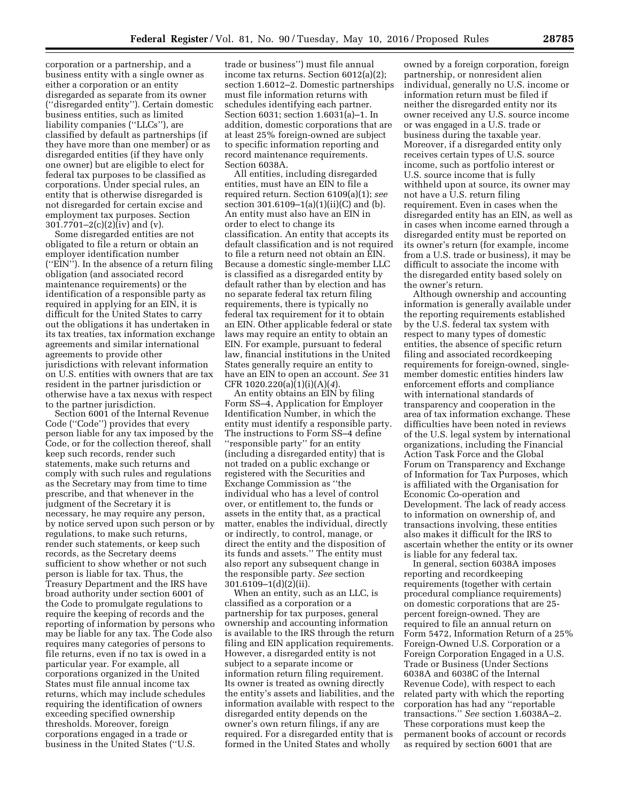corporation or a partnership, and a business entity with a single owner as either a corporation or an entity disregarded as separate from its owner (''disregarded entity''). Certain domestic business entities, such as limited liability companies (''LLCs''), are classified by default as partnerships (if they have more than one member) or as disregarded entities (if they have only one owner) but are eligible to elect for federal tax purposes to be classified as corporations. Under special rules, an entity that is otherwise disregarded is not disregarded for certain excise and employment tax purposes. Section 301.7701–2(c)(2)(iv) and (v).

Some disregarded entities are not obligated to file a return or obtain an employer identification number (''EIN''). In the absence of a return filing obligation (and associated record maintenance requirements) or the identification of a responsible party as required in applying for an EIN, it is difficult for the United States to carry out the obligations it has undertaken in its tax treaties, tax information exchange agreements and similar international agreements to provide other jurisdictions with relevant information on U.S. entities with owners that are tax resident in the partner jurisdiction or otherwise have a tax nexus with respect to the partner jurisdiction.

Section 6001 of the Internal Revenue Code (''Code'') provides that every person liable for any tax imposed by the Code, or for the collection thereof, shall keep such records, render such statements, make such returns and comply with such rules and regulations as the Secretary may from time to time prescribe, and that whenever in the judgment of the Secretary it is necessary, he may require any person, by notice served upon such person or by regulations, to make such returns, render such statements, or keep such records, as the Secretary deems sufficient to show whether or not such person is liable for tax. Thus, the Treasury Department and the IRS have broad authority under section 6001 of the Code to promulgate regulations to require the keeping of records and the reporting of information by persons who may be liable for any tax. The Code also requires many categories of persons to file returns, even if no tax is owed in a particular year. For example, all corporations organized in the United States must file annual income tax returns, which may include schedules requiring the identification of owners exceeding specified ownership thresholds. Moreover, foreign corporations engaged in a trade or business in the United States (''U.S.

trade or business'') must file annual income tax returns. Section 6012(a)(2); section 1.6012–2. Domestic partnerships must file information returns with schedules identifying each partner. Section 6031; section 1.6031(a)–1. In addition, domestic corporations that are at least 25% foreign-owned are subject to specific information reporting and record maintenance requirements. Section 6038A.

All entities, including disregarded entities, must have an EIN to file a required return. Section 6109(a)(1); *see*  section 301.6109–1(a)(1)(ii)(C) and (b). An entity must also have an EIN in order to elect to change its classification. An entity that accepts its default classification and is not required to file a return need not obtain an EIN. Because a domestic single-member LLC is classified as a disregarded entity by default rather than by election and has no separate federal tax return filing requirements, there is typically no federal tax requirement for it to obtain an EIN. Other applicable federal or state laws may require an entity to obtain an EIN. For example, pursuant to federal law, financial institutions in the United States generally require an entity to have an EIN to open an account. *See* 31 CFR 1020.220(a)(1)(i)(A)(*4*).

An entity obtains an EIN by filing Form SS–4, Application for Employer Identification Number, in which the entity must identify a responsible party. The instructions to Form SS–4 define ''responsible party'' for an entity (including a disregarded entity) that is not traded on a public exchange or registered with the Securities and Exchange Commission as ''the individual who has a level of control over, or entitlement to, the funds or assets in the entity that, as a practical matter, enables the individual, directly or indirectly, to control, manage, or direct the entity and the disposition of its funds and assets.'' The entity must also report any subsequent change in the responsible party. *See* section 301.6109–1(d)(2)(ii).

When an entity, such as an LLC, is classified as a corporation or a partnership for tax purposes, general ownership and accounting information is available to the IRS through the return filing and EIN application requirements. However, a disregarded entity is not subject to a separate income or information return filing requirement. Its owner is treated as owning directly the entity's assets and liabilities, and the information available with respect to the disregarded entity depends on the owner's own return filings, if any are required. For a disregarded entity that is formed in the United States and wholly

owned by a foreign corporation, foreign partnership, or nonresident alien individual, generally no U.S. income or information return must be filed if neither the disregarded entity nor its owner received any U.S. source income or was engaged in a U.S. trade or business during the taxable year. Moreover, if a disregarded entity only receives certain types of U.S. source income, such as portfolio interest or U.S. source income that is fully withheld upon at source, its owner may not have a U.S. return filing requirement. Even in cases when the disregarded entity has an EIN, as well as in cases when income earned through a disregarded entity must be reported on its owner's return (for example, income from a U.S. trade or business), it may be difficult to associate the income with the disregarded entity based solely on the owner's return.

Although ownership and accounting information is generally available under the reporting requirements established by the U.S. federal tax system with respect to many types of domestic entities, the absence of specific return filing and associated recordkeeping requirements for foreign-owned, singlemember domestic entities hinders law enforcement efforts and compliance with international standards of transparency and cooperation in the area of tax information exchange. These difficulties have been noted in reviews of the U.S. legal system by international organizations, including the Financial Action Task Force and the Global Forum on Transparency and Exchange of Information for Tax Purposes, which is affiliated with the Organisation for Economic Co-operation and Development. The lack of ready access to information on ownership of, and transactions involving, these entities also makes it difficult for the IRS to ascertain whether the entity or its owner is liable for any federal tax.

In general, section 6038A imposes reporting and recordkeeping requirements (together with certain procedural compliance requirements) on domestic corporations that are 25 percent foreign-owned. They are required to file an annual return on Form 5472, Information Return of a 25% Foreign-Owned U.S. Corporation or a Foreign Corporation Engaged in a U.S. Trade or Business (Under Sections 6038A and 6038C of the Internal Revenue Code), with respect to each related party with which the reporting corporation has had any ''reportable transactions.'' *See* section 1.6038A–2. These corporations must keep the permanent books of account or records as required by section 6001 that are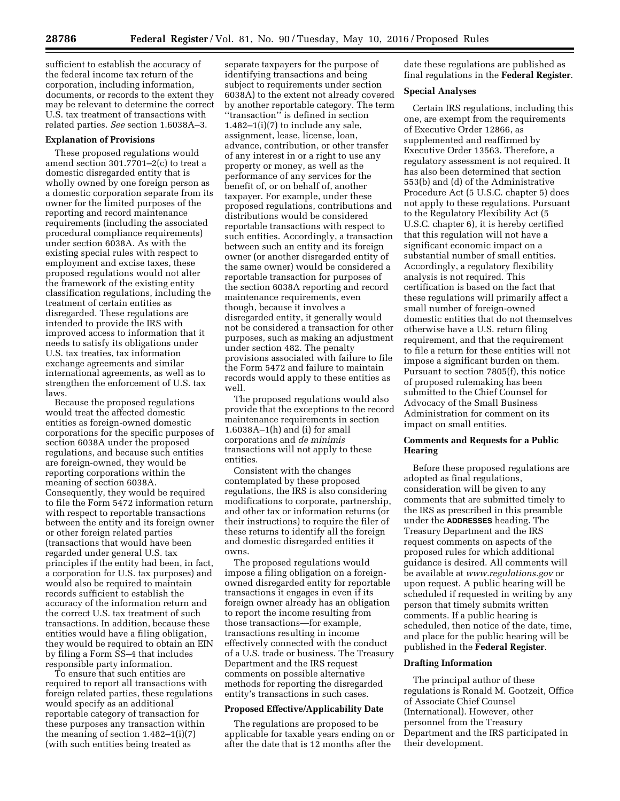sufficient to establish the accuracy of the federal income tax return of the corporation, including information, documents, or records to the extent they may be relevant to determine the correct U.S. tax treatment of transactions with related parties. *See* section 1.6038A–3.

### **Explanation of Provisions**

These proposed regulations would amend section 301.7701–2(c) to treat a domestic disregarded entity that is wholly owned by one foreign person as a domestic corporation separate from its owner for the limited purposes of the reporting and record maintenance requirements (including the associated procedural compliance requirements) under section 6038A. As with the existing special rules with respect to employment and excise taxes, these proposed regulations would not alter the framework of the existing entity classification regulations, including the treatment of certain entities as disregarded. These regulations are intended to provide the IRS with improved access to information that it needs to satisfy its obligations under U.S. tax treaties, tax information exchange agreements and similar international agreements, as well as to strengthen the enforcement of U.S. tax laws.

Because the proposed regulations would treat the affected domestic entities as foreign-owned domestic corporations for the specific purposes of section 6038A under the proposed regulations, and because such entities are foreign-owned, they would be reporting corporations within the meaning of section 6038A. Consequently, they would be required to file the Form 5472 information return with respect to reportable transactions between the entity and its foreign owner or other foreign related parties (transactions that would have been regarded under general U.S. tax principles if the entity had been, in fact, a corporation for U.S. tax purposes) and would also be required to maintain records sufficient to establish the accuracy of the information return and the correct U.S. tax treatment of such transactions. In addition, because these entities would have a filing obligation, they would be required to obtain an EIN by filing a Form SS–4 that includes responsible party information.

To ensure that such entities are required to report all transactions with foreign related parties, these regulations would specify as an additional reportable category of transaction for these purposes any transaction within the meaning of section  $1.482-1(i)(7)$ (with such entities being treated as

separate taxpayers for the purpose of identifying transactions and being subject to requirements under section 6038A) to the extent not already covered by another reportable category. The term ''transaction'' is defined in section  $1.482-1(i)(7)$  to include any sale, assignment, lease, license, loan, advance, contribution, or other transfer of any interest in or a right to use any property or money, as well as the performance of any services for the benefit of, or on behalf of, another taxpayer. For example, under these proposed regulations, contributions and distributions would be considered reportable transactions with respect to such entities. Accordingly, a transaction between such an entity and its foreign owner (or another disregarded entity of the same owner) would be considered a reportable transaction for purposes of the section 6038A reporting and record maintenance requirements, even though, because it involves a disregarded entity, it generally would not be considered a transaction for other purposes, such as making an adjustment under section 482. The penalty provisions associated with failure to file the Form 5472 and failure to maintain records would apply to these entities as well.

The proposed regulations would also provide that the exceptions to the record maintenance requirements in section 1.6038A–1(h) and (i) for small corporations and *de minimis*  transactions will not apply to these entities.

Consistent with the changes contemplated by these proposed regulations, the IRS is also considering modifications to corporate, partnership, and other tax or information returns (or their instructions) to require the filer of these returns to identify all the foreign and domestic disregarded entities it owns.

The proposed regulations would impose a filing obligation on a foreignowned disregarded entity for reportable transactions it engages in even if its foreign owner already has an obligation to report the income resulting from those transactions—for example, transactions resulting in income effectively connected with the conduct of a U.S. trade or business. The Treasury Department and the IRS request comments on possible alternative methods for reporting the disregarded entity's transactions in such cases.

#### **Proposed Effective/Applicability Date**

The regulations are proposed to be applicable for taxable years ending on or after the date that is 12 months after the

date these regulations are published as final regulations in the **Federal Register**.

### **Special Analyses**

Certain IRS regulations, including this one, are exempt from the requirements of Executive Order 12866, as supplemented and reaffirmed by Executive Order 13563. Therefore, a regulatory assessment is not required. It has also been determined that section 553(b) and (d) of the Administrative Procedure Act (5 U.S.C. chapter 5) does not apply to these regulations. Pursuant to the Regulatory Flexibility Act (5 U.S.C. chapter 6), it is hereby certified that this regulation will not have a significant economic impact on a substantial number of small entities. Accordingly, a regulatory flexibility analysis is not required. This certification is based on the fact that these regulations will primarily affect a small number of foreign-owned domestic entities that do not themselves otherwise have a U.S. return filing requirement, and that the requirement to file a return for these entities will not impose a significant burden on them. Pursuant to section 7805(f), this notice of proposed rulemaking has been submitted to the Chief Counsel for Advocacy of the Small Business Administration for comment on its impact on small entities.

## **Comments and Requests for a Public Hearing**

Before these proposed regulations are adopted as final regulations, consideration will be given to any comments that are submitted timely to the IRS as prescribed in this preamble under the **ADDRESSES** heading. The Treasury Department and the IRS request comments on aspects of the proposed rules for which additional guidance is desired. All comments will be available at *[www.regulations.gov](http://www.regulations.gov)* or upon request. A public hearing will be scheduled if requested in writing by any person that timely submits written comments. If a public hearing is scheduled, then notice of the date, time, and place for the public hearing will be published in the **Federal Register**.

#### **Drafting Information**

The principal author of these regulations is Ronald M. Gootzeit, Office of Associate Chief Counsel (International). However, other personnel from the Treasury Department and the IRS participated in their development.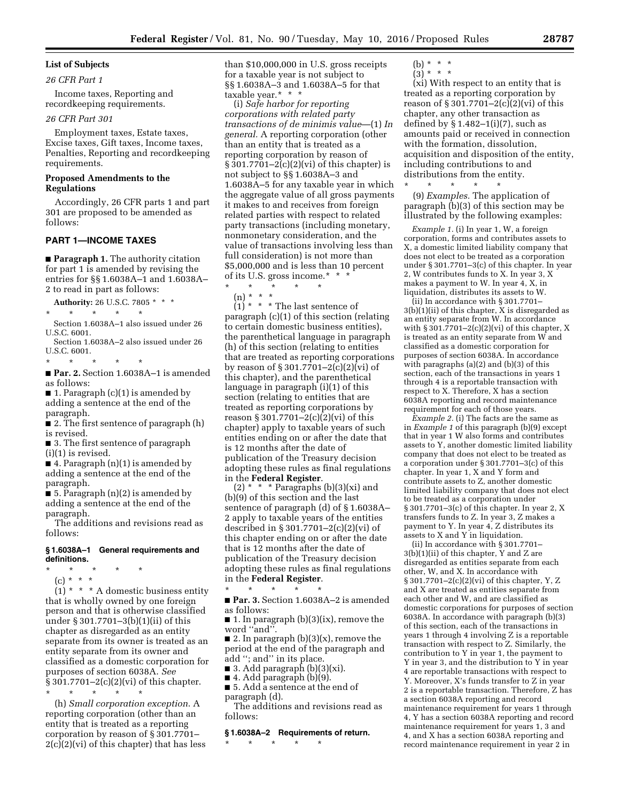#### **List of Subjects**

#### *26 CFR Part 1*

Income taxes, Reporting and recordkeeping requirements.

# *26 CFR Part 301*

Employment taxes, Estate taxes, Excise taxes, Gift taxes, Income taxes, Penalties, Reporting and recordkeeping requirements.

### **Proposed Amendments to the Regulations**

Accordingly, 26 CFR parts 1 and part 301 are proposed to be amended as follows:

### **PART 1—INCOME TAXES**

■ **Paragraph 1.** The authority citation for part 1 is amended by revising the entries for §§ 1.6038A–1 and 1.6038A– 2 to read in part as follows:

**Authority:** 26 U.S.C. 7805 \* \* \* \* \* \* \* \* Section 1.6038A–1 also issued under 26

U.S.C. 6001. Section 1.6038A–2 also issued under 26 U.S.C. 6001.

\* \* \* \* \*

■ **Par. 2.** Section 1.6038A–1 is amended as follows:

■ 1. Paragraph (c)(1) is amended by adding a sentence at the end of the paragraph.

■ 2. The first sentence of paragraph (h) is revised.

■ 3. The first sentence of paragraph (i)(1) is revised.

■ 4. Paragraph (n)(1) is amended by adding a sentence at the end of the paragraph.

 $\blacksquare$  5. Paragraph  $(n)(2)$  is amended by adding a sentence at the end of the paragraph.

The additions and revisions read as follows:

### **§ 1.6038A–1 General requirements and definitions.**

\* \* \* \* \*

(c) \* \* \*

 $(1)$  \* \* \* A domestic business entity that is wholly owned by one foreign person and that is otherwise classified under § 301.7701–3(b)(1)(ii) of this chapter as disregarded as an entity separate from its owner is treated as an entity separate from its owner and classified as a domestic corporation for purposes of section 6038A. *See*  § 301.7701–2(c)(2)(vi) of this chapter. \* \* \* \* \*

(h) *Small corporation exception*. A reporting corporation (other than an entity that is treated as a reporting corporation by reason of § 301.7701–  $2(c)(2)(vi)$  of this chapter) that has less than \$10,000,000 in U.S. gross receipts for a taxable year is not subject to §§ 1.6038A–3 and 1.6038A–5 for that taxable year.\* \* \*

(i) *Safe harbor for reporting corporations with related party transactions of de minimis value*—(1) *In general.* A reporting corporation (other than an entity that is treated as a reporting corporation by reason of § 301.7701–2(c)(2)(vi) of this chapter) is not subject to §§ 1.6038A–3 and 1.6038A–5 for any taxable year in which the aggregate value of all gross payments it makes to and receives from foreign related parties with respect to related party transactions (including monetary, nonmonetary consideration, and the value of transactions involving less than full consideration) is not more than \$5,000,000 and is less than 10 percent of its U.S. gross income.\* \* \* \* \* \* \* \*

(n) \* \* \*

 $(1)$  \* \* \* The last sentence of paragraph (c)(1) of this section (relating to certain domestic business entities), the parenthetical language in paragraph (h) of this section (relating to entities that are treated as reporting corporations by reason of § 301.7701–2(c)(2)(vi) of this chapter), and the parenthetical language in paragraph (i)(1) of this section (relating to entities that are treated as reporting corporations by reason § 301.7701–2(c)(2)(vi) of this chapter) apply to taxable years of such entities ending on or after the date that is 12 months after the date of publication of the Treasury decision adopting these rules as final regulations in the **Federal Register**.

(2)  $*$   $*$   $*$  Paragraphs (b)(3)(xi) and (b)(9) of this section and the last sentence of paragraph (d) of § 1.6038A– 2 apply to taxable years of the entities described in § 301.7701–2(c)(2)(vi) of this chapter ending on or after the date that is 12 months after the date of publication of the Treasury decision adopting these rules as final regulations in the **Federal Register**.

\* \* \* \* \* ■ **Par. 3.** Section 1.6038A-2 is amended as follows:

■ 1. In paragraph (b)(3)(ix), remove the word ''and''.

■ 2. In paragraph (b)(3)(x), remove the period at the end of the paragraph and add ''; and'' in its place.

■ 3. Add paragraph  $(b)(3)(xi)$ .

 $\blacksquare$  4. Add paragraph (b)(9).

■ 5. Add a sentence at the end of paragraph (d).

The additions and revisions read as follows:

### **§ 1.6038A–2 Requirements of return.**

\* \* \* \* \*

(b) \* \* \*  $(3) * * * *$ 

(xi) With respect to an entity that is treated as a reporting corporation by reason of  $\S 301.7701 - 2(c)(2)(vi)$  of this chapter, any other transaction as defined by  $\S 1.482-1(i)(7)$ , such as amounts paid or received in connection with the formation, dissolution, acquisition and disposition of the entity, including contributions to and distributions from the entity.

(9) *Examples.* The application of paragraph (b)(3) of this section may be illustrated by the following examples:

\* \* \* \* \*

*Example 1.* (i) In year 1, W, a foreign corporation, forms and contributes assets to X, a domestic limited liability company that does not elect to be treated as a corporation under § 301.7701–3(c) of this chapter. In year 2, W contributes funds to X. In year 3, X makes a payment to W. In year 4, X, in liquidation, distributes its assets to W.

(ii) In accordance with § 301.7701– 3(b)(1)(ii) of this chapter, X is disregarded as an entity separate from W. In accordance with  $\S 301.7701-2(c)(2)(vi)$  of this chapter, X is treated as an entity separate from W and classified as a domestic corporation for purposes of section 6038A. In accordance with paragraphs (a)(2) and (b)(3) of this section, each of the transactions in years 1 through 4 is a reportable transaction with respect to X. Therefore, X has a section 6038A reporting and record maintenance requirement for each of those years.

*Example 2.* (i) The facts are the same as in *Example 1* of this paragraph (b)(9) except that in year 1 W also forms and contributes assets to Y, another domestic limited liability company that does not elect to be treated as a corporation under § 301.7701–3(c) of this chapter. In year 1, X and Y form and contribute assets to Z, another domestic limited liability company that does not elect to be treated as a corporation under § 301.7701–3(c) of this chapter. In year 2, X transfers funds to Z. In year 3, Z makes a payment to Y. In year 4, Z distributes its assets to X and Y in liquidation.

(ii) In accordance with § 301.7701– 3(b)(1)(ii) of this chapter, Y and Z are disregarded as entities separate from each other, W, and X. In accordance with § 301.7701–2(c)(2)(vi) of this chapter, Y, Z and X are treated as entities separate from each other and W, and are classified as domestic corporations for purposes of section 6038A. In accordance with paragraph (b)(3) of this section, each of the transactions in years 1 through 4 involving Z is a reportable transaction with respect to Z. Similarly, the contribution to Y in year 1, the payment to Y in year 3, and the distribution to Y in year 4 are reportable transactions with respect to Y. Moreover, X's funds transfer to Z in year 2 is a reportable transaction. Therefore, Z has a section 6038A reporting and record maintenance requirement for years 1 through 4, Y has a section 6038A reporting and record maintenance requirement for years 1, 3 and 4, and X has a section 6038A reporting and record maintenance requirement in year 2 in